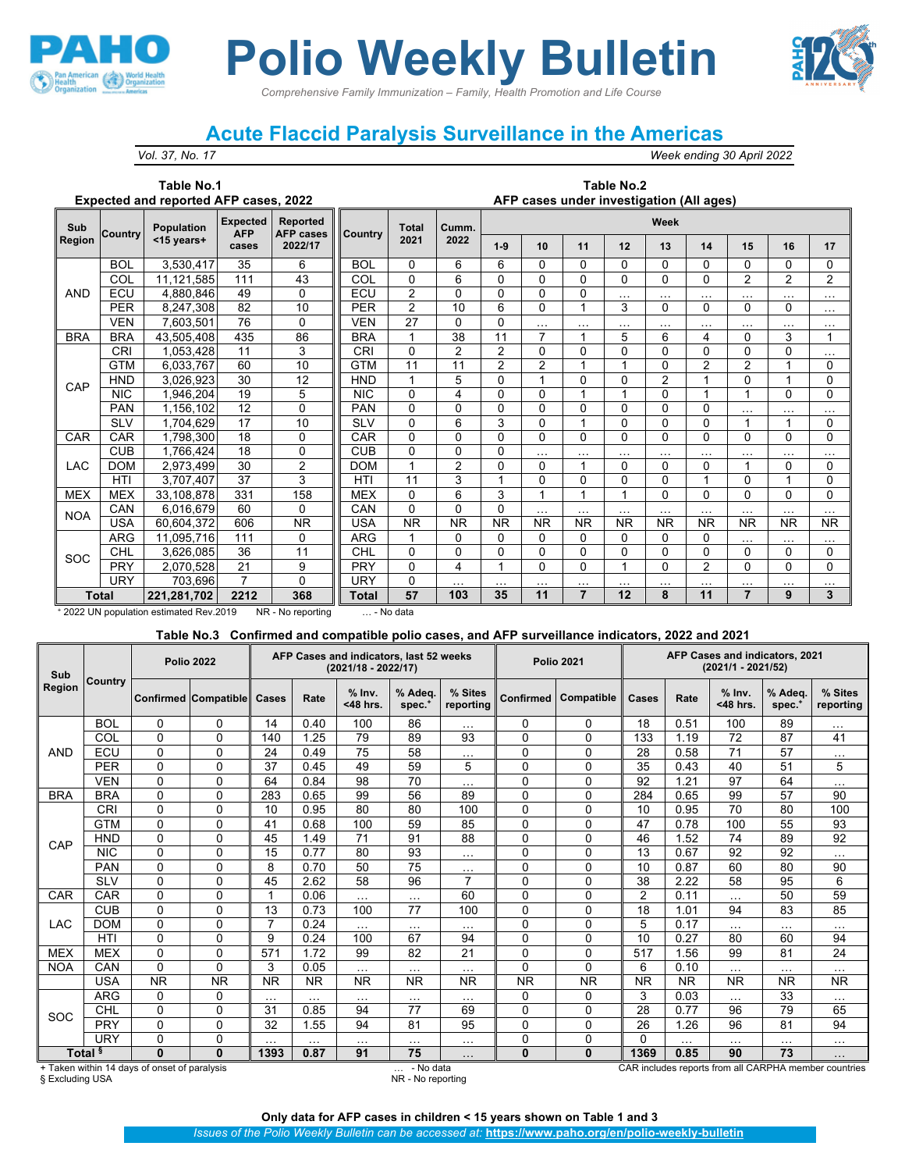

# *Comprehensive Family Immunization – Family, Health Promotion and Life Course* **Polio Weekly Bulletin**

## **Acute Flaccid Paralysis Surveillance in the Americas**

*Vol. 37, No. 17 Week ending 30 April 2022*

#### **Table No.1 Expected and reported AFP cases, 2022**

#### **Table No.2 AFP cases under investigation (All ages)**

| Sub        | Country      | <b>Population</b> | <b>Expected</b><br><b>AFP</b> | <b>Reported</b><br><b>AFP cases</b> | <b>Country</b> | <b>Total</b>   | Cumm.          | Week           |                |                |           |                |                |                |                                                                                                                                                                                                                                                                                                                                                                                   |              |  |  |
|------------|--------------|-------------------|-------------------------------|-------------------------------------|----------------|----------------|----------------|----------------|----------------|----------------|-----------|----------------|----------------|----------------|-----------------------------------------------------------------------------------------------------------------------------------------------------------------------------------------------------------------------------------------------------------------------------------------------------------------------------------------------------------------------------------|--------------|--|--|
| Region     |              | <15 years+        | cases                         | 2022/17                             |                | 2021           | 2022           | $1-9$          | 10             | 11             | 12        | 13             | 14             | 15             | 16<br>0<br>0<br>$\mathcal{P}$<br>2<br>$\cdots$<br>$\cdots$<br>0<br>0<br>$\cdots$<br>$\cdots$<br>3<br>0<br>0<br>$\Omega$<br>$\overline{2}$<br>0<br>$\Omega$<br>$\cdots$<br>$\cdots$<br>1<br>0<br>0<br>$\cdots$<br>$\cdots$<br>$\Omega$<br>1<br>0<br>0<br>$\Omega$<br>$\cdots$<br>$\cdots$<br><b>NR</b><br><b>NR</b><br>$\cdots$<br>$\cdots$<br>0<br>0<br>$\Omega$<br>0<br>$\cdots$ | 17           |  |  |
|            | <b>BOL</b>   | 3,530,417         | 35                            | 6                                   | <b>BOL</b>     | $\Omega$       | 6              | 6              | $\mathbf{0}$   | 0              | $\Omega$  | 0              | $\Omega$       |                |                                                                                                                                                                                                                                                                                                                                                                                   | $\mathbf{0}$ |  |  |
|            | COL          | 11,121,585        | 111                           | 43                                  | COL            | 0              | 6              | 0              | $\mathbf{0}$   | $\Omega$       | 0         | $\Omega$       | $\Omega$       |                |                                                                                                                                                                                                                                                                                                                                                                                   | 2            |  |  |
| <b>AND</b> | ECU          | 4,880,846         | 49                            | $\Omega$                            | ECU            | $\overline{2}$ | 0              | 0              | 0              | 0              | $\cdots$  | $\cdots$       | $\cdots$       |                |                                                                                                                                                                                                                                                                                                                                                                                   | $\cdots$     |  |  |
|            | <b>PER</b>   | 8.247.308         | 82                            | 10                                  | <b>PER</b>     | $\overline{2}$ | 10             | 6              | 0              |                | 3         | 0              | $\Omega$       |                |                                                                                                                                                                                                                                                                                                                                                                                   | $\cdots$     |  |  |
|            | <b>VEN</b>   | 7,603,501         | 76                            | $\Omega$                            | <b>VEN</b>     | 27             | 0              | 0              | $\cdots$       | $\cdots$       | $\cdots$  | $\cdots$       | $\cdots$       |                |                                                                                                                                                                                                                                                                                                                                                                                   | $\cdots$     |  |  |
| <b>BRA</b> | <b>BRA</b>   | 43,505,408        | 435                           | 86                                  | <b>BRA</b>     | 1              | 38             | 11             | 7              |                | 5         | 6              | 4              |                |                                                                                                                                                                                                                                                                                                                                                                                   | 1            |  |  |
|            | <b>CRI</b>   | 1,053,428         | 11                            | 3                                   | <b>CRI</b>     | 0              | $\overline{2}$ | $\overline{2}$ | 0              | $\Omega$       | $\Omega$  | $\Omega$       | $\Omega$       |                |                                                                                                                                                                                                                                                                                                                                                                                   | $\cdots$     |  |  |
|            | <b>GTM</b>   | 6,033,767         | 60                            | 10                                  | <b>GTM</b>     | 11             | 11             | $\overline{2}$ | $\overline{2}$ |                |           | 0              | $\overline{2}$ |                |                                                                                                                                                                                                                                                                                                                                                                                   | $\mathbf{0}$ |  |  |
| CAP        | <b>HND</b>   | 3,026,923         | 30                            | 12                                  | <b>HND</b>     | 1              | 5              | 0              | 1              | $\Omega$       | 0         | $\overline{2}$ | 1              |                |                                                                                                                                                                                                                                                                                                                                                                                   | $\Omega$     |  |  |
|            | <b>NIC</b>   | ,946,204          | 19                            | 5                                   | <b>NIC</b>     | $\Omega$       | 4              | 0              | 0              |                |           | 0              |                |                |                                                                                                                                                                                                                                                                                                                                                                                   | 0            |  |  |
|            | <b>PAN</b>   | .156.102          | 12                            | $\Omega$                            | <b>PAN</b>     | $\mathbf 0$    | 0              | 0              | 0              | $\Omega$       | 0         | $\mathbf{0}$   | $\Omega$       |                |                                                                                                                                                                                                                                                                                                                                                                                   | $\cdots$     |  |  |
|            | <b>SLV</b>   | 1,704,629         | 17                            | 10                                  | <b>SLV</b>     | $\Omega$       | 6              | 3              | $\Omega$       | 1              | $\Omega$  | $\Omega$       | $\Omega$       |                |                                                                                                                                                                                                                                                                                                                                                                                   | $\mathbf{0}$ |  |  |
| CAR        | <b>CAR</b>   | 1,798,300         | 18                            | 0                                   | CAR            | 0              | 0              | 0              | 0              | 0              | 0         | 0              | $\Omega$       |                |                                                                                                                                                                                                                                                                                                                                                                                   | 0            |  |  |
|            | <b>CUB</b>   | 1.766.424         | 18                            | 0                                   | <b>CUB</b>     | $\mathbf 0$    | 0              | 0              | $\cdots$       | $\cdots$       | $\cdots$  | $\cdots$       | $\cdots$       |                |                                                                                                                                                                                                                                                                                                                                                                                   | $\cdots$     |  |  |
| <b>LAC</b> | <b>DOM</b>   | 2,973,499         | 30                            | 2                                   | <b>DOM</b>     | 1              | $\overline{2}$ | 0              | $\mathbf{0}$   | 1              | $\Omega$  | $\Omega$       | $\Omega$       |                |                                                                                                                                                                                                                                                                                                                                                                                   | $\mathbf{0}$ |  |  |
|            | HTI          | 3,707,407         | 37                            | 3                                   | <b>HTI</b>     | 11             | 3              |                | 0              | 0              | 0         | 0              | 1              |                |                                                                                                                                                                                                                                                                                                                                                                                   | 0            |  |  |
| <b>MEX</b> | <b>MEX</b>   | 33,108,878        | 331                           | 158                                 | <b>MEX</b>     | 0              | 6              | 3              | 4              |                |           | $\Omega$       | $\Omega$       |                |                                                                                                                                                                                                                                                                                                                                                                                   | $\Omega$     |  |  |
| <b>NOA</b> | CAN          | 6,016,679         | 60                            | $\Omega$                            | CAN            | $\mathbf 0$    | 0              | 0              | $\cdots$       | $\cdots$       | $\cdots$  | $\cdots$       | $\cdots$       |                |                                                                                                                                                                                                                                                                                                                                                                                   | $\cdots$     |  |  |
|            | <b>USA</b>   | 60,604,372        | 606                           | <b>NR</b>                           | <b>USA</b>     | <b>NR</b>      | <b>NR</b>      | <b>NR</b>      | <b>NR</b>      | <b>NR</b>      | <b>NR</b> | <b>NR</b>      | <b>NR</b>      |                |                                                                                                                                                                                                                                                                                                                                                                                   | <b>NR</b>    |  |  |
|            | <b>ARG</b>   | 11,095,716        | 111                           | $\Omega$                            | <b>ARG</b>     |                | 0              | 0              | $\Omega$       | 0              | 0         | $\Omega$       | $\Omega$       |                |                                                                                                                                                                                                                                                                                                                                                                                   | $\cdots$     |  |  |
| SOC        | <b>CHL</b>   | 3,626,085         | 36                            | 11                                  | CHL            | $\mathbf{0}$   | 0              | 0              | 0              | 0              | $\Omega$  | 0              | $\Omega$       |                |                                                                                                                                                                                                                                                                                                                                                                                   | $\mathbf{0}$ |  |  |
|            | <b>PRY</b>   | 2,070,528         | 21                            | 9                                   | <b>PRY</b>     | $\Omega$       | 4              | 1              | 0              | $\Omega$       | 1         | $\Omega$       | $\overline{2}$ |                |                                                                                                                                                                                                                                                                                                                                                                                   | 0            |  |  |
|            | URY          | 703,696           | 7                             | $\Omega$                            | URY            | 0              | $\cdots$       | .              | $\cdots$       | $\cdots$       |           | $\cdots$       | .              |                |                                                                                                                                                                                                                                                                                                                                                                                   |              |  |  |
|            | <b>Total</b> | 221.281.702       | 2212                          | 368                                 | Total          | 57             | 103            | 35             | 11             | $\overline{7}$ | 12        | 8              | 11             | $\overline{7}$ | 9                                                                                                                                                                                                                                                                                                                                                                                 | 3            |  |  |

<sup>+</sup> 2022 UN population estimated Rev.2019 NR - No reporting … - No data

### **Table No.3 Confirmed and compatible polio cases, and AFP surveillance indicators, 2022 and 2021**

| Sub<br>Region |                    |                                              | <b>Polio 2022</b>           |           |           | AFP Cases and indicators, last 52 weeks<br>$(2021/18 - 2022/17)$ |                       |                      |             | <b>Polio 2021</b> | AFP Cases and indicators, 2021<br>(2021/1 - 2021/52) |          |                         |                     |                                                       |  |
|---------------|--------------------|----------------------------------------------|-----------------------------|-----------|-----------|------------------------------------------------------------------|-----------------------|----------------------|-------------|-------------------|------------------------------------------------------|----------|-------------------------|---------------------|-------------------------------------------------------|--|
|               | Country            |                                              | <b>Confirmed Compatible</b> | Cases     | Rate      | $%$ Inv.<br><48 hrs.                                             | % Adea.<br>$spec.*$   | % Sites<br>reporting | Confirmed   | Compatible        | Cases                                                | Rate     | $%$ lnv.<br>$<$ 48 hrs. | % Adea.<br>$spec.*$ | % Sites<br>reporting                                  |  |
|               | <b>BOL</b>         | 0                                            | 0                           | 14        | 0.40      | 100                                                              | 86                    | $\cdots$             | 0           | 0                 | 18                                                   | 0.51     | 100                     | 89                  | .                                                     |  |
|               | COL                | $\Omega$                                     | $\Omega$                    | 140       | 1.25      | 79                                                               | 89                    | 93                   | 0           | $\Omega$          | 133                                                  | 1.19     | 72                      | 87                  | 41                                                    |  |
| <b>AND</b>    | ECU                | 0                                            | $\mathbf 0$                 | 24        | 0.49      | 75                                                               | 58                    | $\cdots$             | $\Omega$    | $\Omega$          | 28                                                   | 0.58     | 71                      | 57                  | .                                                     |  |
|               | <b>PER</b>         | $\Omega$                                     | $\Omega$                    | 37        | 0.45      | 49                                                               | 59                    | 5                    | 0           | $\Omega$          | 35                                                   | 0.43     | 40                      | 51                  | 5                                                     |  |
|               | <b>VEN</b>         | 0                                            | 0                           | 64        | 0.84      | 98                                                               | 70                    | $\cdots$             | 0           | $\Omega$          | 92                                                   | 1.21     | 97                      | 64                  | .                                                     |  |
| <b>BRA</b>    | <b>BRA</b>         | $\Omega$                                     | $\Omega$                    | 283       | 0.65      | 99                                                               | 56                    | 89                   | 0           | $\Omega$          | 284                                                  | 0.65     | 99                      | 57                  | 90                                                    |  |
|               | <b>CRI</b>         | $\Omega$                                     | $\mathbf 0$                 | 10        | 0.95      | 80                                                               | 80                    | 100                  | 0           | $\Omega$          | 10                                                   | 0.95     | 70                      | 80                  | 100                                                   |  |
|               | <b>GTM</b>         | $\Omega$                                     | $\mathbf 0$                 | 41        | 0.68      | 100                                                              | 59                    | 85                   | 0           | $\Omega$          | 47                                                   | 0.78     | 100                     | 55                  | 93                                                    |  |
| CAP           | <b>HND</b>         | 0                                            | 0                           | 45        | 1.49      | 71                                                               | 91                    | 88                   | 0           | $\mathbf{0}$      | 46                                                   | 1.52     | 74                      | 89                  | 92                                                    |  |
|               | <b>NIC</b>         | $\Omega$                                     | $\Omega$                    | 15        | 0.77      | 80                                                               | 93                    | $\cdots$             | $\Omega$    | $\Omega$          | 13                                                   | 0.67     | 92                      | 92                  | $\cdots$                                              |  |
|               | <b>PAN</b>         | 0                                            | 0                           | 8         | 0.70      | 50                                                               | 75                    | $\cdots$             | 0           | 0                 | 10                                                   | 0.87     | 60                      | 80                  | 90                                                    |  |
|               | <b>SLV</b>         | 0                                            | $\Omega$                    | 45        | 2.62      | 58                                                               | 96                    | $\overline{7}$       | 0           | $\Omega$          | 38                                                   | 2.22     | 58                      | 95                  | 6                                                     |  |
| CAR           | CAR                | 0                                            | 0                           | 1         | 0.06      | $\sim$ $\sim$                                                    | $\cdots$              | 60                   | 0           | 0                 | 2                                                    | 0.11     | $\cdots$                | 50                  | 59                                                    |  |
|               | <b>CUB</b>         | $\Omega$                                     | $\Omega$                    | 13        | 0.73      | 100                                                              | 77                    | 100                  | $\Omega$    | $\Omega$          | 18                                                   | 1.01     | 94                      | 83                  | 85                                                    |  |
| LAC           | <b>DOM</b>         | 0                                            | 0                           | 7         | 0.24      | $\cdots$                                                         | $\cdots$              | $\cdots$             | 0           | 0                 | 5                                                    | 0.17     | $\cdots$                | $\cdots$            | $\cdots$                                              |  |
|               | <b>HTI</b>         | 0                                            | $\mathbf 0$                 | 9         | 0.24      | 100                                                              | 67                    | 94                   | 0           | $\Omega$          | 10                                                   | 0.27     | 80                      | 60                  | 94                                                    |  |
| <b>MEX</b>    | <b>MEX</b>         | 0                                            | $\mathbf 0$                 | 571       | 1.72      | 99                                                               | 82                    | 21                   | 0           | $\mathbf{0}$      | 517                                                  | 1.56     | 99                      | 81                  | 24                                                    |  |
| <b>NOA</b>    | CAN                | $\Omega$                                     | $\Omega$                    | 3         | 0.05      | $\sim$ $\sim$                                                    | $\cdots$              | $\cdots$             | 0           | $\Omega$          | 6                                                    | 0.10     | $\cdots$                | $\cdots$            | $\cdots$                                              |  |
|               | <b>USA</b>         | <b>NR</b>                                    | <b>NR</b>                   | <b>NR</b> | <b>NR</b> | <b>NR</b>                                                        | <b>NR</b>             | <b>NR</b>            | <b>NR</b>   | <b>NR</b>         | <b>NR</b>                                            | NR       | <b>NR</b>               | <b>NR</b>           | <b>NR</b>                                             |  |
|               | <b>ARG</b>         | 0                                            | 0                           | $\cdots$  | $\cdots$  | $\cdots$                                                         | $\cdots$              | $\cdots$             | 0           | 0                 | 3                                                    | 0.03     | $\cdots$                | 33                  | $\cdots$                                              |  |
| SOC           | CHL                | $\Omega$                                     | $\mathbf 0$                 | 31        | 0.85      | 94                                                               | 77                    | 69                   | 0           | $\Omega$          | 28                                                   | 0.77     | 96                      | 79                  | 65                                                    |  |
|               | <b>PRY</b>         | 0                                            | $\Omega$                    | 32        | 1.55      | 94                                                               | 81                    | 95                   | 0           | $\mathbf{0}$      | 26                                                   | 1.26     | 96                      | 81                  | 94                                                    |  |
|               | <b>URY</b>         | 0                                            | $\mathbf 0$                 | .         | $\cdots$  | $\cdots$                                                         | $\cdots$              | $\cdots$             | $\mathbf 0$ | $\mathbf{0}$      | $\Omega$                                             | $\cdots$ | $\cdots$                | $\cdots$            | $\cdots$                                              |  |
|               | Total <sup>§</sup> | $\bf{0}$                                     | $\bf{0}$                    | 1393      | 0.87      | 91                                                               | 75                    | $\cdots$             | $\bf{0}$    | $\bf{0}$          | 1369                                                 | 0.85     | 90                      | 73                  | .                                                     |  |
|               |                    | + Taken within 14 days of onset of paralysis |                             |           |           |                                                                  | - No data<br>$\cdots$ |                      |             |                   |                                                      |          |                         |                     | CAR includes reports from all CARPHA member countries |  |

§ Excluding USA NR - No reporting

**Only data for AFP cases in children < 15 years shown on Table 1 and 3**